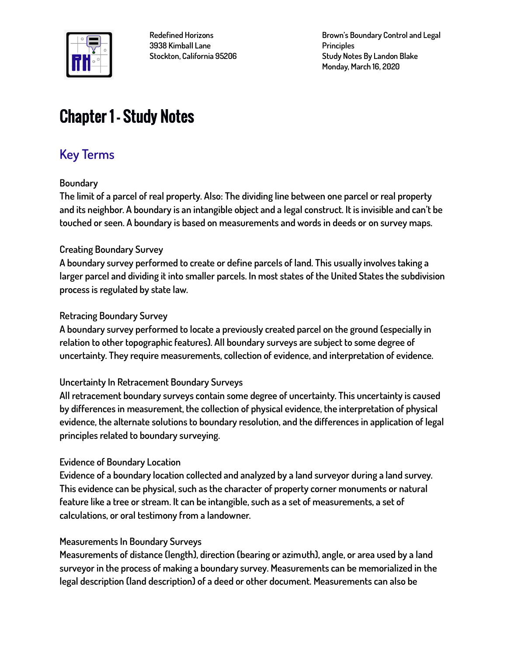

**Brown's Boundary Control and Legal Principles Study Notes By Landon Blake Monday, March 16, 2020**

# Chapter 1 – Study Notes

# **Key Terms**

### **Boundary**

**The limit of a parcel of real property. Also: The dividing line between one parcel or real property and its neighbor. A boundary is an intangible object and a legal construct. It is invisible and can't be touched or seen. A boundary is based on measurements and words in deeds or on survey maps.**

### **Creating Boundary Survey**

**A boundary survey performed to create or define parcels of land. This usually involves taking a larger parcel and dividing it into smaller parcels. In most states of the United States the subdivision process is regulated by state law.**

#### **Retracing Boundary Survey**

**A boundary survey performed to locate a previously created parcel on the ground (especially in relation to other topographic features). All boundary surveys are subject to some degree of uncertainty. They require measurements, collection of evidence, and interpretation of evidence.**

#### **Uncertainty In Retracement Boundary Surveys**

**All retracement boundary surveys contain some degree of uncertainty. This uncertainty is caused by differences in measurement, the collection of physical evidence, the interpretation of physical evidence, the alternate solutions to boundary resolution, and the differences in application of legal principles related to boundary surveying.**

### **Evidence of Boundary Location**

**Evidence of a boundary location collected and analyzed by a land surveyor during a land survey. This evidence can be physical, such as the character of property corner monuments or natural feature like a tree or stream. It can be intangible, such as a set of measurements, a set of calculations, or oral testimony from a landowner.**

### **Measurements In Boundary Surveys**

**Measurements of distance (length), direction (bearing or azimuth), angle, or area used by a land surveyor in the process of making a boundary survey. Measurements can be memorialized in the legal description (land description) of a deed or other document. Measurements can also be**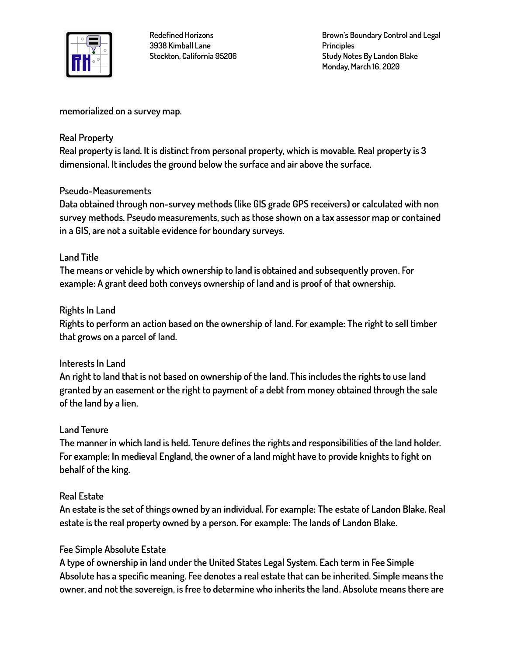

**Brown's Boundary Control and Legal Principles Study Notes By Landon Blake Monday, March 16, 2020**

**memorialized on a survey map.**

#### **Real Property**

**Real property is land. It is distinct from personal property, which is movable. Real property is 3 dimensional. It includes the ground below the surface and air above the surface.**

### **Pseudo-Measurements**

**Data obtained through non-survey methods (like GIS grade GPS receivers) or calculated with non survey methods. Pseudo measurements, such as those shown on a tax assessor map or contained in a GIS, are not a suitable evidence for boundary surveys.**

#### **Land Title**

**The means or vehicle by which ownership to land is obtained and subsequently proven. For example: A grant deed both conveys ownership of land and is proof of that ownership.**

#### **Rights In Land**

**Rights to perform an action based on the ownership of land. For example: The right to sell timber that grows on a parcel of land.**

### **Interests In Land**

**An right to land that is not based on ownership of the land. This includes the rights to use land granted by an easement or the right to payment of a debt from money obtained through the sale of the land by a lien.**

#### **Land Tenure**

**The manner in which land is held. Tenure defines the rights and responsibilities of the land holder. For example: In medieval England, the owner of a land might have to provide knights to fight on behalf of the king.**

#### **Real Estate**

**An estate is the set of things owned by an individual. For example: The estate of Landon Blake. Real estate is the real property owned by a person. For example: The lands of Landon Blake.**

### **Fee Simple Absolute Estate**

**A type of ownership in land under the United States Legal System. Each term in Fee Simple Absolute has a specific meaning. Fee denotes a real estate that can be inherited. Simple means the owner, and not the sovereign, is free to determine who inherits the land. Absolute means there are**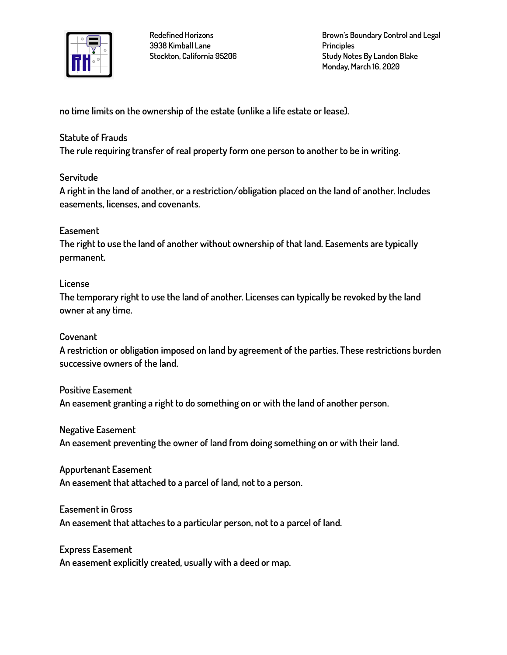

**Brown's Boundary Control and Legal Principles Study Notes By Landon Blake Monday, March 16, 2020**

**no time limits on the ownership of the estate (unlike a life estate or lease).**

#### **Statute of Frauds**

**The rule requiring transfer of real property form one person to another to be in writing.**

### **Servitude**

**A right in the land of another, or a restriction/obligation placed on the land of another. Includes easements, licenses, and covenants.**

### **Easement**

**The right to use the land of another without ownership of that land. Easements are typically permanent.**

#### **License**

**The temporary right to use the land of another. Licenses can typically be revoked by the land owner at any time.**

#### **Covenant**

**A restriction or obligation imposed on land by agreement of the parties. These restrictions burden successive owners of the land.**

**Positive Easement An easement granting a right to do something on or with the land of another person.**

**Negative Easement An easement preventing the owner of land from doing something on or with their land.**

**Appurtenant Easement An easement that attached to a parcel of land, not to a person.**

# **Easement in Gross An easement that attaches to a particular person, not to a parcel of land.**

**Express Easement An easement explicitly created, usually with a deed or map.**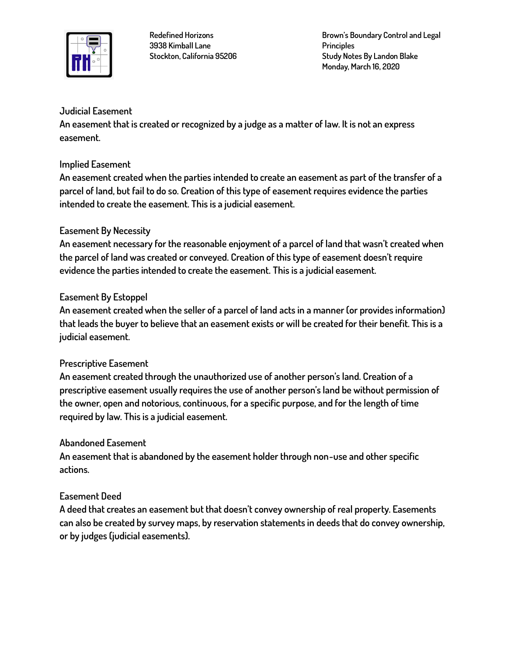

**Brown's Boundary Control and Legal Principles Study Notes By Landon Blake Monday, March 16, 2020**

### **Judicial Easement**

**An easement that is created or recognized by a judge as a matter of law. It is not an express easement.**

#### **Implied Easement**

**An easement created when the parties intended to create an easement as part of the transfer of a parcel of land, but fail to do so. Creation of this type of easement requires evidence the parties intended to create the easement. This is a judicial easement.**

# **Easement By Necessity**

**An easement necessary for the reasonable enjoyment of a parcel of land that wasn't created when the parcel of land was created or conveyed. Creation of this type of easement doesn't require evidence the parties intended to create the easement. This is a judicial easement.**

### **Easement By Estoppel**

**An easement created when the seller of a parcel of land acts in a manner (or provides information) that leads the buyer to believe that an easement exists or will be created for their benefit. This is a judicial easement.**

### **Prescriptive Easement**

**An easement created through the unauthorized use of another person's land. Creation of a prescriptive easement usually requires the use of another person's land be without permission of the owner, open and notorious, continuous, for a specific purpose, and for the length of time required by law. This is a judicial easement.**

### **Abandoned Easement**

**An easement that is abandoned by the easement holder through non-use and other specific actions.**

### **Easement Deed**

**A deed that creates an easement but that doesn't convey ownership of real property. Easements can also be created by survey maps, by reservation statements in deeds that do convey ownership, or by judges (judicial easements).**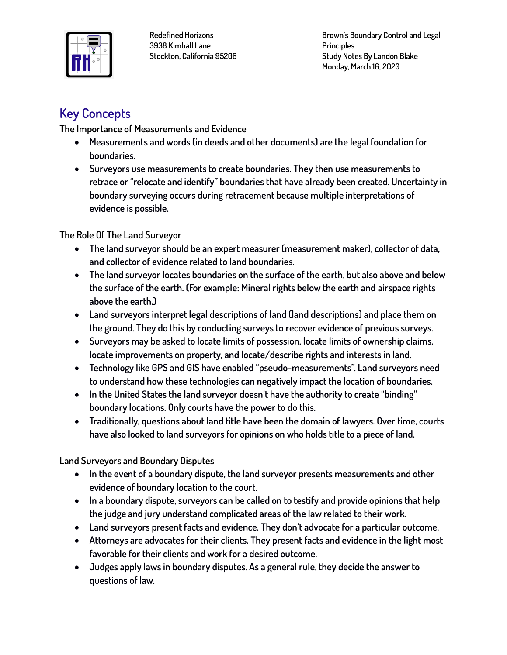

**Brown's Boundary Control and Legal Principles Study Notes By Landon Blake Monday, March 16, 2020**

# **Key Concepts**

**The Importance of Measurements and Evidence** 

- **Measurements and words (in deeds and other documents) are the legal foundation for boundaries.**
- **Surveyors use measurements to create boundaries. They then use measurements to retrace or "relocate and identify" boundaries that have already been created. Uncertainty in boundary surveying occurs during retracement because multiple interpretations of evidence is possible.**

**The Role Of The Land Surveyor**

- **The land surveyor should be an expert measurer (measurement maker), collector of data, and collector of evidence related to land boundaries.**
- **The land surveyor locates boundaries on the surface of the earth, but also above and below the surface of the earth. (For example: Mineral rights below the earth and airspace rights above the earth.)**
- **Land surveyors interpret legal descriptions of land (land descriptions) and place them on the ground. They do this by conducting surveys to recover evidence of previous surveys.**
- **Surveyors may be asked to locate limits of possession, locate limits of ownership claims, locate improvements on property, and locate/describe rights and interests in land.**
- **Technology like GPS and GIS have enabled "pseudo-measurements". Land surveyors need to understand how these technologies can negatively impact the location of boundaries.**
- **In the United States the land surveyor doesn't have the authority to create "binding" boundary locations. Only courts have the power to do this.**
- **Traditionally, questions about land title have been the domain of lawyers. Over time, courts have also looked to land surveyors for opinions on who holds title to a piece of land.**

**Land Surveyors and Boundary Disputes**

- **In the event of a boundary dispute, the land surveyor presents measurements and other evidence of boundary location to the court.**
- **In a boundary dispute, surveyors can be called on to testify and provide opinions that help the judge and jury understand complicated areas of the law related to their work.**
- **Land surveyors present facts and evidence. They don't advocate for a particular outcome.**
- **Attorneys are advocates for their clients. They present facts and evidence in the light most favorable for their clients and work for a desired outcome.**
- **Judges apply laws in boundary disputes. As a general rule, they decide the answer to questions of law.**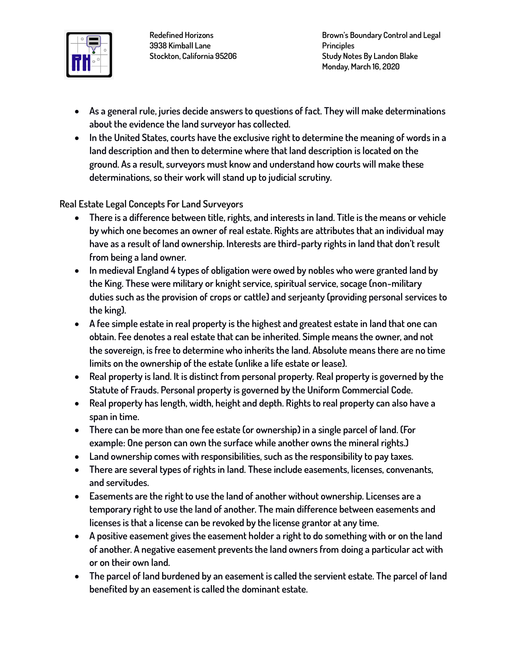

- **As a general rule, juries decide answers to questions of fact. They will make determinations about the evidence the land surveyor has collected.**
- **In the United States, courts have the exclusive right to determine the meaning of words in a land description and then to determine where that land description is located on the ground. As a result, surveyors must know and understand how courts will make these determinations, so their work will stand up to judicial scrutiny.**

**Real Estate Legal Concepts For Land Surveyors**

- **There is a difference between title, rights, and interests in land. Title is the means or vehicle by which one becomes an owner of real estate. Rights are attributes that an individual may have as a result of land ownership. Interests are third-party rights in land that don't result from being a land owner.**
- **In medieval England 4 types of obligation were owed by nobles who were granted land by the King. These were military or knight service, spiritual service, socage (non-military duties such as the provision of crops or cattle) and serjeanty (providing personal services to the king).**
- **A fee simple estate in real property is the highest and greatest estate in land that one can obtain. Fee denotes a real estate that can be inherited. Simple means the owner, and not the sovereign, is free to determine who inherits the land. Absolute means there are no time limits on the ownership of the estate (unlike a life estate or lease).**
- **Real property is land. It is distinct from personal property. Real property is governed by the Statute of Frauds. Personal property is governed by the Uniform Commercial Code.**
- **Real property has length, width, height and depth. Rights to real property can also have a span in time.**
- **There can be more than one fee estate (or ownership) in a single parcel of land. (For example: One person can own the surface while another owns the mineral rights.)**
- **Land ownership comes with responsibilities, such as the responsibility to pay taxes.**
- **There are several types of rights in land. These include easements, licenses, convenants, and servitudes.**
- **Easements are the right to use the land of another without ownership. Licenses are a temporary right to use the land of another. The main difference between easements and licenses is that a license can be revoked by the license grantor at any time.**
- **A positive easement gives the easement holder a right to do something with or on the land of another. A negative easement prevents the land owners from doing a particular act with or on their own land.**
- **The parcel of land burdened by an easement is called the servient estate. The parcel of land benefited by an easement is called the dominant estate.**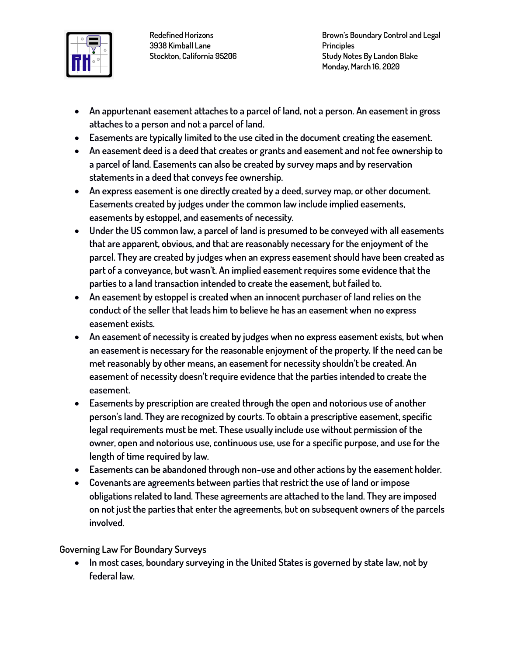

**Brown's Boundary Control and Legal Principles Study Notes By Landon Blake Monday, March 16, 2020**

- **An appurtenant easement attaches to a parcel of land, not a person. An easement in gross attaches to a person and not a parcel of land.**
- **Easements are typically limited to the use cited in the document creating the easement.**
- **An easement deed is a deed that creates or grants and easement and not fee ownership to a parcel of land. Easements can also be created by survey maps and by reservation statements in a deed that conveys fee ownership.**
- **An express easement is one directly created by a deed, survey map, or other document. Easements created by judges under the common law include implied easements, easements by estoppel, and easements of necessity.**
- **Under the US common law, a parcel of land is presumed to be conveyed with all easements that are apparent, obvious, and that are reasonably necessary for the enjoyment of the parcel. They are created by judges when an express easement should have been created as part of a conveyance, but wasn't. An implied easement requires some evidence that the parties to a land transaction intended to create the easement, but failed to.**
- **An easement by estoppel is created when an innocent purchaser of land relies on the conduct of the seller that leads him to believe he has an easement when no express easement exists.**
- **An easement of necessity is created by judges when no express easement exists, but when an easement is necessary for the reasonable enjoyment of the property. If the need can be met reasonably by other means, an easement for necessity shouldn't be created. An easement of necessity doesn't require evidence that the parties intended to create the easement.**
- **Easements by prescription are created through the open and notorious use of another person's land. They are recognized by courts. To obtain a prescriptive easement, specific legal requirements must be met. These usually include use without permission of the owner, open and notorious use, continuous use, use for a specific purpose, and use for the length of time required by law.**
- **Easements can be abandoned through non-use and other actions by the easement holder.**
- **Covenants are agreements between parties that restrict the use of land or impose obligations related to land. These agreements are attached to the land. They are imposed on not just the parties that enter the agreements, but on subsequent owners of the parcels involved.**

### **Governing Law For Boundary Surveys**

• **In most cases, boundary surveying in the United States is governed by state law, not by federal law.**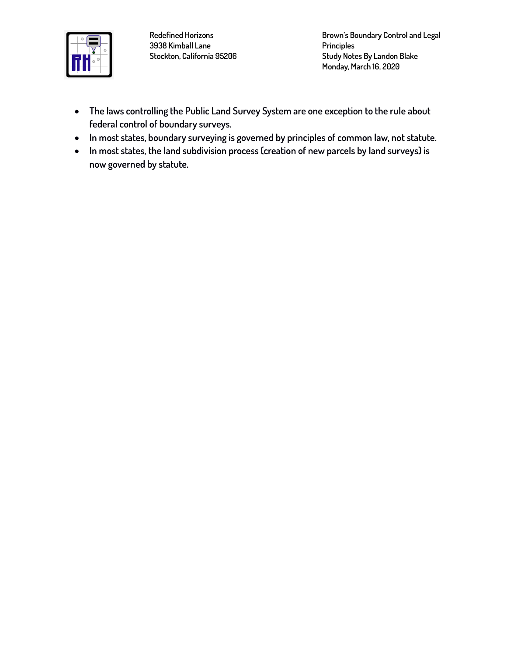

**Brown's Boundary Control and Legal Principles Study Notes By Landon Blake Monday, March 16, 2020**

- **The laws controlling the Public Land Survey System are one exception to the rule about federal control of boundary surveys.**
- **In most states, boundary surveying is governed by principles of common law, not statute.**
- **In most states, the land subdivision process (creation of new parcels by land surveys) is now governed by statute.**